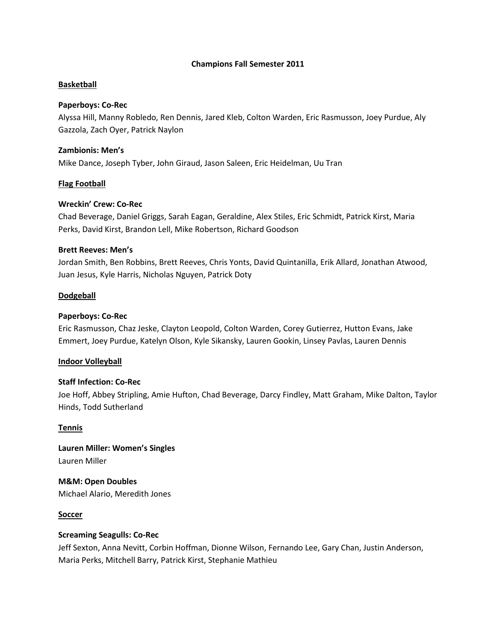### **Champions Fall Semester 2011**

### **Basketball**

### **Paperboys: Co-Rec**

Alyssa Hill, Manny Robledo, Ren Dennis, Jared Kleb, Colton Warden, Eric Rasmusson, Joey Purdue, Aly Gazzola, Zach Oyer, Patrick Naylon

### **Zambionis: Men's**

Mike Dance, Joseph Tyber, John Giraud, Jason Saleen, Eric Heidelman, Uu Tran

### **Flag Football**

### **Wreckin' Crew: Co-Rec**

Chad Beverage, Daniel Griggs, Sarah Eagan, Geraldine, Alex Stiles, Eric Schmidt, Patrick Kirst, Maria Perks, David Kirst, Brandon Lell, Mike Robertson, Richard Goodson

### **Brett Reeves: Men's**

Jordan Smith, Ben Robbins, Brett Reeves, Chris Yonts, David Quintanilla, Erik Allard, Jonathan Atwood, Juan Jesus, Kyle Harris, Nicholas Nguyen, Patrick Doty

### **Dodgeball**

### **Paperboys: Co-Rec**

Eric Rasmusson, Chaz Jeske, Clayton Leopold, Colton Warden, Corey Gutierrez, Hutton Evans, Jake Emmert, Joey Purdue, Katelyn Olson, Kyle Sikansky, Lauren Gookin, Linsey Pavlas, Lauren Dennis

### **Indoor Volleyball**

### **Staff Infection: Co-Rec**

Joe Hoff, Abbey Stripling, Amie Hufton, Chad Beverage, Darcy Findley, Matt Graham, Mike Dalton, Taylor Hinds, Todd Sutherland

#### **Tennis**

**Lauren Miller: Women's Singles** Lauren Miller

**M&M: Open Doubles** Michael Alario, Meredith Jones

#### **Soccer**

#### **Screaming Seagulls: Co-Rec**

Jeff Sexton, Anna Nevitt, Corbin Hoffman, Dionne Wilson, Fernando Lee, Gary Chan, Justin Anderson, Maria Perks, Mitchell Barry, Patrick Kirst, Stephanie Mathieu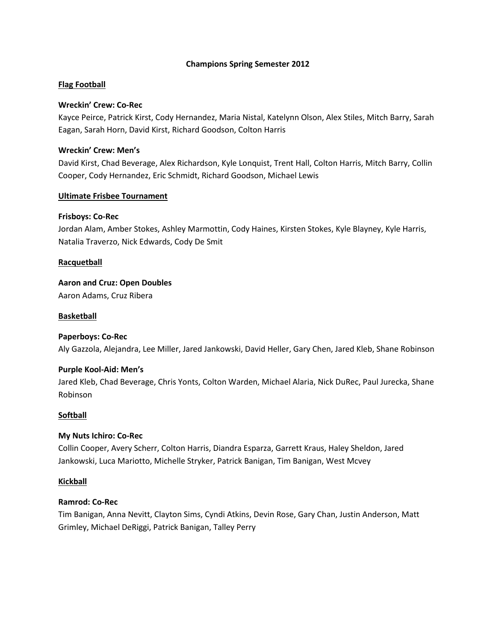### **Champions Spring Semester 2012**

## **Flag Football**

### **Wreckin' Crew: Co-Rec**

Kayce Peirce, Patrick Kirst, Cody Hernandez, Maria Nistal, Katelynn Olson, Alex Stiles, Mitch Barry, Sarah Eagan, Sarah Horn, David Kirst, Richard Goodson, Colton Harris

### **Wreckin' Crew: Men's**

David Kirst, Chad Beverage, Alex Richardson, Kyle Lonquist, Trent Hall, Colton Harris, Mitch Barry, Collin Cooper, Cody Hernandez, Eric Schmidt, Richard Goodson, Michael Lewis

## **Ultimate Frisbee Tournament**

## **Frisboys: Co-Rec**

Jordan Alam, Amber Stokes, Ashley Marmottin, Cody Haines, Kirsten Stokes, Kyle Blayney, Kyle Harris, Natalia Traverzo, Nick Edwards, Cody De Smit

## **Racquetball**

**Aaron and Cruz: Open Doubles** Aaron Adams, Cruz Ribera

## **Basketball**

# **Paperboys: Co-Rec** Aly Gazzola, Alejandra, Lee Miller, Jared Jankowski, David Heller, Gary Chen, Jared Kleb, Shane Robinson

### **Purple Kool-Aid: Men's**

Jared Kleb, Chad Beverage, Chris Yonts, Colton Warden, Michael Alaria, Nick DuRec, Paul Jurecka, Shane Robinson

### **Softball**

### **My Nuts Ichiro: Co-Rec**

Collin Cooper, Avery Scherr, Colton Harris, Diandra Esparza, Garrett Kraus, Haley Sheldon, Jared Jankowski, Luca Mariotto, Michelle Stryker, Patrick Banigan, Tim Banigan, West Mcvey

### **Kickball**

### **Ramrod: Co-Rec**

Tim Banigan, Anna Nevitt, Clayton Sims, Cyndi Atkins, Devin Rose, Gary Chan, Justin Anderson, Matt Grimley, Michael DeRiggi, Patrick Banigan, Talley Perry